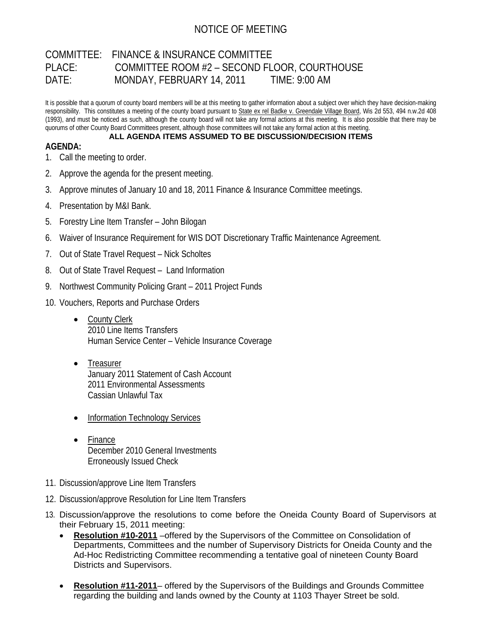## NOTICE OF MEETING

## COMMITTEE: FINANCE & INSURANCE COMMITTEE PLACE: COMMITTEE ROOM #2 – SECOND FLOOR, COURTHOUSE DATE: MONDAY, FEBRUARY 14, 2011 TIME: 9:00 AM

It is possible that a quorum of county board members will be at this meeting to gather information about a subject over which they have decision-making responsibility. This constitutes a meeting of the county board pursuant to State ex rel Badke v. Greendale Village Board, Wis 2d 553, 494 n.w.2d 408 (1993), and must be noticed as such, although the county board will not take any formal actions at this meeting. It is also possible that there may be quorums of other County Board Committees present, although those committees will not take any formal action at this meeting.

## **ALL AGENDA ITEMS ASSUMED TO BE DISCUSSION/DECISION ITEMS**

## **AGENDA:**

- 1. Call the meeting to order.
- 2. Approve the agenda for the present meeting.
- 3. Approve minutes of January 10 and 18, 2011 Finance & Insurance Committee meetings.
- 4. Presentation by M&I Bank.
- 5. Forestry Line Item Transfer John Bilogan
- 6. Waiver of Insurance Requirement for WIS DOT Discretionary Traffic Maintenance Agreement.
- 7. Out of State Travel Request Nick Scholtes
- 8. Out of State Travel Request Land Information
- 9. Northwest Community Policing Grant 2011 Project Funds
- 10. Vouchers, Reports and Purchase Orders
	- County Clerk 2010 Line Items Transfers Human Service Center – Vehicle Insurance Coverage
	- Treasurer January 2011 Statement of Cash Account 2011 Environmental Assessments Cassian Unlawful Tax
	- Information Technology Services
	- Finance December 2010 General Investments Erroneously Issued Check
- 11. Discussion/approve Line Item Transfers
- 12. Discussion/approve Resolution for Line Item Transfers
- 13. Discussion/approve the resolutions to come before the Oneida County Board of Supervisors at their February 15, 2011 meeting:
	- **Resolution #10-2011** –offered by the Supervisors of the Committee on Consolidation of Departments, Committees and the number of Supervisory Districts for Oneida County and the Ad-Hoc Redistricting Committee recommending a tentative goal of nineteen County Board Districts and Supervisors.
	- **Resolution #11-2011** offered by the Supervisors of the Buildings and Grounds Committee regarding the building and lands owned by the County at 1103 Thayer Street be sold.